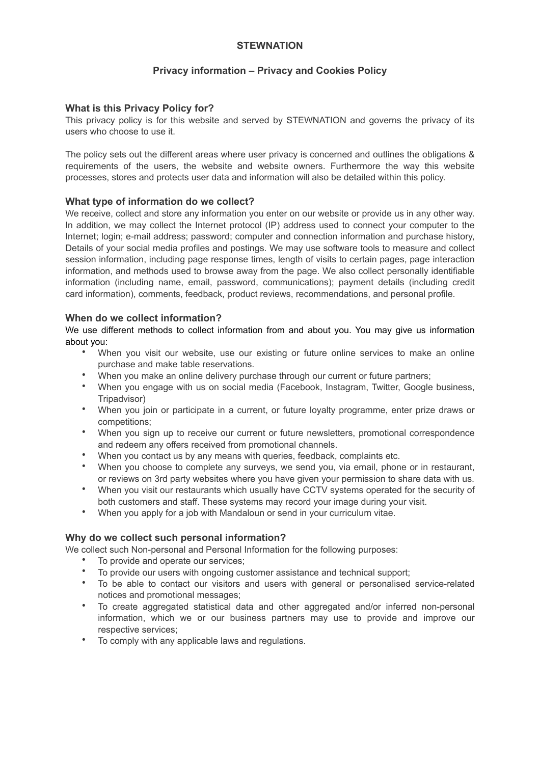## **STEWNATION**

# **Privacy information – Privacy and Cookies Policy**

# **What is this Privacy Policy for?**

This privacy policy is for this website and served by STEWNATION and governs the privacy of its users who choose to use it.

The policy sets out the different areas where user privacy is concerned and outlines the obligations & requirements of the users, the website and website owners. Furthermore the way this website processes, stores and protects user data and information will also be detailed within this policy.

## **What type of information do we collect?**

We receive, collect and store any information you enter on our website or provide us in any other way. In addition, we may collect the Internet protocol (IP) address used to connect your computer to the Internet; login; e-mail address; password; computer and connection information and purchase history, Details of your social media profiles and postings. We may use software tools to measure and collect session information, including page response times, length of visits to certain pages, page interaction information, and methods used to browse away from the page. We also collect personally identifiable information (including name, email, password, communications); payment details (including credit card information), comments, feedback, product reviews, recommendations, and personal profile.

#### **When do we collect information?**

We use different methods to collect information from and about you. You may give us information about you:

- When you visit our website, use our existing or future online services to make an online purchase and make table reservations.
- When you make an online delivery purchase through our current or future partners;
- When you engage with us on social media (Facebook, Instagram, Twitter, Google business, Tripadvisor)
- When you join or participate in a current, or future loyalty programme, enter prize draws or competitions;
- When you sign up to receive our current or future newsletters, promotional correspondence and redeem any offers received from promotional channels.
- When you contact us by any means with queries, feedback, complaints etc.
- When you choose to complete any surveys, we send you, via email, phone or in restaurant, or reviews on 3rd party websites where you have given your permission to share data with us.
- When you visit our restaurants which usually have CCTV systems operated for the security of both customers and staff. These systems may record your image during your visit.
- When you apply for a job with Mandaloun or send in your curriculum vitae.

# **Why do we collect such personal information?**

We collect such Non-personal and Personal Information for the following purposes:

- To provide and operate our services;
- To provide our users with ongoing customer assistance and technical support;
- To be able to contact our visitors and users with general or personalised service-related notices and promotional messages;
- To create aggregated statistical data and other aggregated and/or inferred non-personal information, which we or our business partners may use to provide and improve our respective services;
- To comply with any applicable laws and regulations.